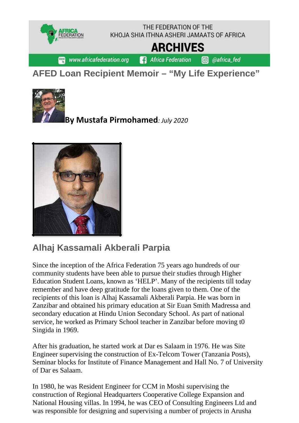

## **AFED Loan Recipient Memoir – "My Life Experience"**



**By Mustafa Pirmohamed***: July 2020*



## **Alhaj Kassamali Akberali Parpia**

Since the inception of the Africa Federation 75 years ago hundreds of our community students have been able to pursue their studies through Higher Education Student Loans, known as 'HELP'. Many of the recipients till today remember and have deep gratitude for the loans given to them. One of the recipients of this loan is Alhaj Kassamali Akberali Parpia. He was born in Zanzibar and obtained his primary education at Sir Euan Smith Madressa and secondary education at Hindu Union Secondary School. As part of national service, he worked as Primary School teacher in Zanzibar before moving t0 Singida in 1969.

After his graduation, he started work at Dar es Salaam in 1976. He was Site Engineer supervising the construction of Ex-Telcom Tower (Tanzania Posts), Seminar blocks for Institute of Finance Management and Hall No. 7 of University of Dar es Salaam.

In 1980, he was Resident Engineer for CCM in Moshi supervising the construction of Regional Headquarters Cooperative College Expansion and National Housing villas. In 1994, he was CEO of Consulting Engineers Ltd and was responsible for designing and supervising a number of projects in Arusha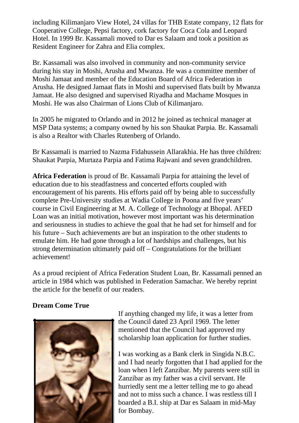including Kilimanjaro View Hotel, 24 villas for THB Estate company, 12 flats for Cooperative College, Pepsi factory, cork factory for Coca Cola and Leopard Hotel. In 1999 Br. Kassamali moved to Dar es Salaam and took a position as Resident Engineer for Zahra and Elia complex.

Br. Kassamali was also involved in community and non-community service during his stay in Moshi, Arusha and Mwanza. He was a committee member of Moshi Jamaat and member of the Education Board of Africa Federation in Arusha. He designed Jamaat flats in Moshi and supervised flats built by Mwanza Jamaat. He also designed and supervised Riyadha and Machame Mosques in Moshi. He was also Chairman of Lions Club of Kilimanjaro.

In 2005 he migrated to Orlando and in 2012 he joined as technical manager at MSP Data systems; a company owned by his son Shaukat Parpia. Br. Kassamali is also a Realtor with Charles Rutenberg of Orlando.

Br Kassamali is married to Nazma Fidahussein Allarakhia. He has three children: Shaukat Parpia, Murtaza Parpia and Fatima Rajwani and seven grandchildren.

**Africa Federation** is proud of Br. Kassamali Parpia for attaining the level of education due to his steadfastness and concerted efforts coupled with encouragement of his parents. His efforts paid off by being able to successfully complete Pre-University studies at Wadia College in Poona and five years' course in Civil Engineering at M. A. College of Technology at Bhopal. AFED Loan was an initial motivation, however most important was his determination and seriousness in studies to achieve the goal that he had set for himself and for his future – Such achievements are but an inspiration to the other students to emulate him. He had gone through a lot of hardships and challenges, but his strong determination ultimately paid off – Congratulations for the brilliant achievement!

As a proud recipient of Africa Federation Student Loan, Br. Kassamali penned an article in 1984 which was published in Federation Samachar. We hereby reprint the article for the benefit of our readers.

## **Dream Come True**



If anything changed my life, it was a letter from the Council dated 23 April 1969. The letter mentioned that the Council had approved my scholarship loan application for further studies.

I was working as a Bank clerk in Singida N.B.C. and I had nearly forgotten that I had applied for the loan when I left Zanzibar. My parents were still in Zanzibar as my father was a civil servant. He hurriedly sent me a letter telling me to go ahead and not to miss such a chance. I was restless till I boarded a B.I. ship at Dar es Salaam in mid-May for Bombay.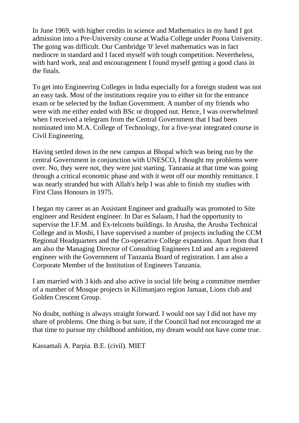In June 1969, with higher credits in science and Mathematics in my hand I got admission into a Pre-University course at Wadia College under Poona University. The going was difficult. Our Cambridge '0' level mathematics was in fact mediocre in standard and I faced myself with tough competition. Nevertheless, with hard work, zeal and encouragement I found myself getting a good class in the finals.

To get into Engineering Colleges in India especially for a foreign student was not an easy task. Most of the institutions require you to either sit for the entrance exam or be selected by the Indian Government. A number of my friends who were with me either ended with BSc or dropped out. Hence, I was overwhelmed when I received a telegram from the Central Government that I had been nominated into M.A. College of Technology, for a five-year integrated course in Civil Engineering.

Having settled down in the new campus at Bhopal which was being run by the central Government in conjunction with UNESCO, I thought my problems were over. No, they were not, they were just starting. Tanzania at that time was going through a critical economic phase and with it went off our monthly remittance. I was nearly stranded but with Allah's help I was able to finish my studies with First Class Honours in 1975.

I began my career as an Assistant Engineer and gradually was promoted to Site engineer and Resident engineer. In Dar es Salaam, I had the opportunity to supervise the I.F.M. and Ex-telcoms buildings. In Arusha, the Arusha Technical College and in Moshi, I have supervised a number of projects including the CCM Regional Headquarters and the Co-operative College expansion. Apart from that I am also the Managing Director of Consulting Engineers Ltd and am a registered engineer with the Government of Tanzania Board of registration. I am also a Corporate Member of the Institution of Engineers Tanzania.

I am married with 3 kids and also active in social life being a committee member of a number of Mosque projects in Kilimanjaro region Jamaat, Lions club and Golden Crescent Group.

No doubt, nothing is always straight forward. I would not say I did not have my share of problems. One thing is but sure, if the Council had not encouraged me at that time to pursue my childhood ambition, my dream would not have come true.

Kassamali A. Parpia. B.E. (civil). MIET